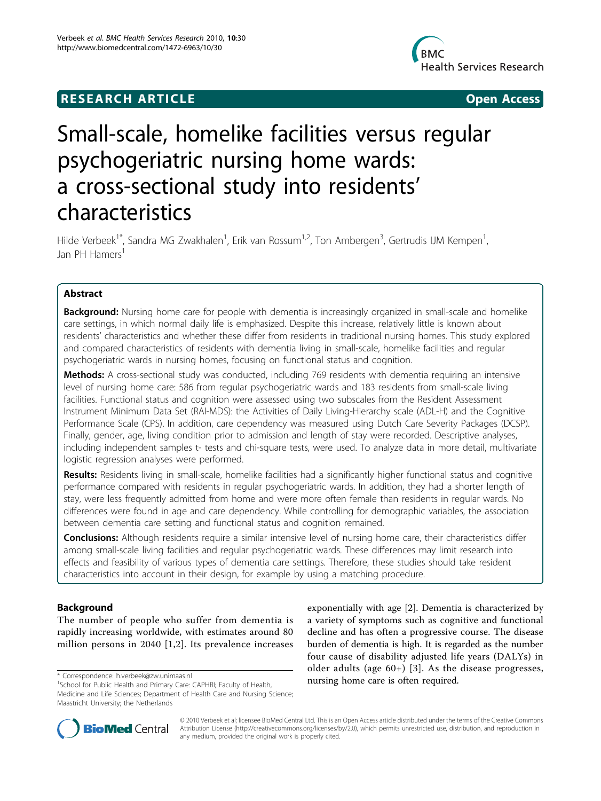## **RESEARCH ARTICLE Example 2018 12:30 THE Open Access**



# Small-scale, homelike facilities versus regular psychogeriatric nursing home wards: a cross-sectional study into residents' characteristics

Hilde Verbeek<sup>1\*</sup>, Sandra MG Zwakhalen<sup>1</sup>, Erik van Rossum<sup>1,2</sup>, Ton Ambergen<sup>3</sup>, Gertrudis IJM Kempen<sup>1</sup> , Jan PH Hamers<sup>1</sup>

## Abstract

**Background:** Nursing home care for people with dementia is increasingly organized in small-scale and homelike care settings, in which normal daily life is emphasized. Despite this increase, relatively little is known about residents' characteristics and whether these differ from residents in traditional nursing homes. This study explored and compared characteristics of residents with dementia living in small-scale, homelike facilities and regular psychogeriatric wards in nursing homes, focusing on functional status and cognition.

Methods: A cross-sectional study was conducted, including 769 residents with dementia requiring an intensive level of nursing home care: 586 from regular psychogeriatric wards and 183 residents from small-scale living facilities. Functional status and cognition were assessed using two subscales from the Resident Assessment Instrument Minimum Data Set (RAI-MDS): the Activities of Daily Living-Hierarchy scale (ADL-H) and the Cognitive Performance Scale (CPS). In addition, care dependency was measured using Dutch Care Severity Packages (DCSP). Finally, gender, age, living condition prior to admission and length of stay were recorded. Descriptive analyses, including independent samples t- tests and chi-square tests, were used. To analyze data in more detail, multivariate logistic regression analyses were performed.

Results: Residents living in small-scale, homelike facilities had a significantly higher functional status and cognitive performance compared with residents in regular psychogeriatric wards. In addition, they had a shorter length of stay, were less frequently admitted from home and were more often female than residents in regular wards. No differences were found in age and care dependency. While controlling for demographic variables, the association between dementia care setting and functional status and cognition remained.

Conclusions: Although residents require a similar intensive level of nursing home care, their characteristics differ among small-scale living facilities and regular psychogeriatric wards. These differences may limit research into effects and feasibility of various types of dementia care settings. Therefore, these studies should take resident characteristics into account in their design, for example by using a matching procedure.

## Background

The number of people who suffer from dementia is rapidly increasing worldwide, with estimates around 80 million persons in 2040 [[1,2](#page-6-0)]. Its prevalence increases

exponentially with age [\[2](#page-6-0)]. Dementia is characterized by a variety of symptoms such as cognitive and functional decline and has often a progressive course. The disease burden of dementia is high. It is regarded as the number four cause of disability adjusted life years (DALYs) in older adults (age 60+) [\[3\]](#page-6-0). As the disease progresses, \* Correspondence: [h.verbeek@zw.unimaas.nl](mailto:h.verbeek@zw.unimaas.nl)<br><sup>1</sup>School for Bublic Hoalth and Briman Care: CABHBI: Eaculty of Hoalth **nursing home care is often required.** 



© 2010 Verbeek et al; licensee BioMed Central Ltd. This is an Open Access article distributed under the terms of the Creative Commons Attribution License [\(http://creativecommons.org/licenses/by/2.0](http://creativecommons.org/licenses/by/2.0)), which permits unrestricted use, distribution, and reproduction in any medium, provided the original work is properly cited.

<sup>&</sup>lt;sup>1</sup>School for Public Health and Primary Care: CAPHRI; Faculty of Health, Medicine and Life Sciences; Department of Health Care and Nursing Science; Maastricht University; the Netherlands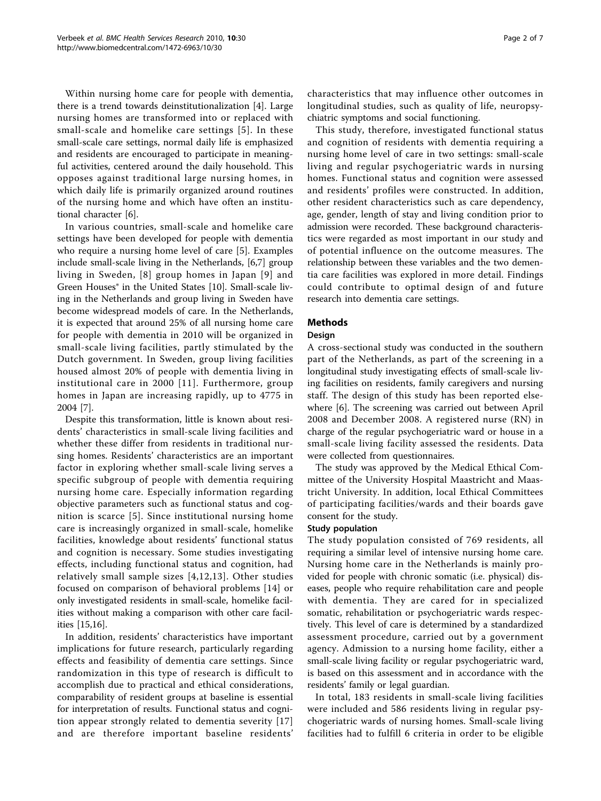Within nursing home care for people with dementia, there is a trend towards deinstitutionalization [[4\]](#page-6-0). Large nursing homes are transformed into or replaced with small-scale and homelike care settings [[5](#page-6-0)]. In these small-scale care settings, normal daily life is emphasized and residents are encouraged to participate in meaningful activities, centered around the daily household. This opposes against traditional large nursing homes, in which daily life is primarily organized around routines of the nursing home and which have often an institutional character [\[6\]](#page-6-0).

In various countries, small-scale and homelike care settings have been developed for people with dementia who require a nursing home level of care [\[5](#page-6-0)]. Examples include small-scale living in the Netherlands, [\[6,7](#page-6-0)] group living in Sweden, [[8](#page-6-0)] group homes in Japan [[9](#page-6-0)] and Green Houses® in the United States [[10\]](#page-6-0). Small-scale living in the Netherlands and group living in Sweden have become widespread models of care. In the Netherlands, it is expected that around 25% of all nursing home care for people with dementia in 2010 will be organized in small-scale living facilities, partly stimulated by the Dutch government. In Sweden, group living facilities housed almost 20% of people with dementia living in institutional care in 2000 [[11\]](#page-6-0). Furthermore, group homes in Japan are increasing rapidly, up to 4775 in 2004 [[7](#page-6-0)].

Despite this transformation, little is known about residents' characteristics in small-scale living facilities and whether these differ from residents in traditional nursing homes. Residents' characteristics are an important factor in exploring whether small-scale living serves a specific subgroup of people with dementia requiring nursing home care. Especially information regarding objective parameters such as functional status and cognition is scarce [[5](#page-6-0)]. Since institutional nursing home care is increasingly organized in small-scale, homelike facilities, knowledge about residents' functional status and cognition is necessary. Some studies investigating effects, including functional status and cognition, had relatively small sample sizes [[4,12,13\]](#page-6-0). Other studies focused on comparison of behavioral problems [[14\]](#page-6-0) or only investigated residents in small-scale, homelike facilities without making a comparison with other care facilities [\[15,16](#page-6-0)].

In addition, residents' characteristics have important implications for future research, particularly regarding effects and feasibility of dementia care settings. Since randomization in this type of research is difficult to accomplish due to practical and ethical considerations, comparability of resident groups at baseline is essential for interpretation of results. Functional status and cognition appear strongly related to dementia severity [[17](#page-6-0)] and are therefore important baseline residents'

characteristics that may influence other outcomes in longitudinal studies, such as quality of life, neuropsychiatric symptoms and social functioning.

This study, therefore, investigated functional status and cognition of residents with dementia requiring a nursing home level of care in two settings: small-scale living and regular psychogeriatric wards in nursing homes. Functional status and cognition were assessed and residents' profiles were constructed. In addition, other resident characteristics such as care dependency, age, gender, length of stay and living condition prior to admission were recorded. These background characteristics were regarded as most important in our study and of potential influence on the outcome measures. The relationship between these variables and the two dementia care facilities was explored in more detail. Findings could contribute to optimal design of and future research into dementia care settings.

## Methods

#### Design

A cross-sectional study was conducted in the southern part of the Netherlands, as part of the screening in a longitudinal study investigating effects of small-scale living facilities on residents, family caregivers and nursing staff. The design of this study has been reported elsewhere [\[6](#page-6-0)]. The screening was carried out between April 2008 and December 2008. A registered nurse (RN) in charge of the regular psychogeriatric ward or house in a small-scale living facility assessed the residents. Data were collected from questionnaires.

The study was approved by the Medical Ethical Committee of the University Hospital Maastricht and Maastricht University. In addition, local Ethical Committees of participating facilities/wards and their boards gave consent for the study.

#### Study population

The study population consisted of 769 residents, all requiring a similar level of intensive nursing home care. Nursing home care in the Netherlands is mainly provided for people with chronic somatic (i.e. physical) diseases, people who require rehabilitation care and people with dementia. They are cared for in specialized somatic, rehabilitation or psychogeriatric wards respectively. This level of care is determined by a standardized assessment procedure, carried out by a government agency. Admission to a nursing home facility, either a small-scale living facility or regular psychogeriatric ward, is based on this assessment and in accordance with the residents' family or legal guardian.

In total, 183 residents in small-scale living facilities were included and 586 residents living in regular psychogeriatric wards of nursing homes. Small-scale living facilities had to fulfill 6 criteria in order to be eligible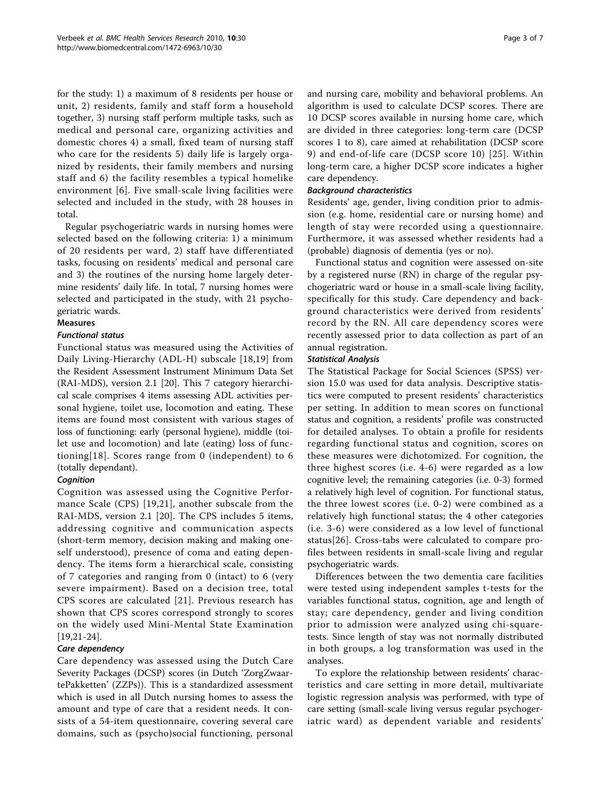for the study: 1) a maximum of 8 residents per house or unit, 2) residents, family and staff form a household together, 3) nursing staff perform multiple tasks, such as medical and personal care, organizing activities and domestic chores 4) a small, fixed team of nursing staff who care for the residents 5) daily life is largely organized by residents, their family members and nursing staff and 6) the facility resembles a typical homelike environment [[6](#page-6-0)]. Five small-scale living facilities were selected and included in the study, with 28 houses in total.

Regular psychogeriatric wards in nursing homes were selected based on the following criteria: 1) a minimum of 20 residents per ward, 2) staff have differentiated tasks, focusing on residents' medical and personal care and 3) the routines of the nursing home largely determine residents' daily life. In total, 7 nursing homes were selected and participated in the study, with 21 psychogeriatric wards.

## Measures

#### Functional status

Functional status was measured using the Activities of Daily Living-Hierarchy (ADL-H) subscale [[18,19](#page-6-0)] from the Resident Assessment Instrument Minimum Data Set (RAI-MDS), version 2.1 [[20\]](#page-6-0). This 7 category hierarchical scale comprises 4 items assessing ADL activities personal hygiene, toilet use, locomotion and eating. These items are found most consistent with various stages of loss of functioning: early (personal hygiene), middle (toilet use and locomotion) and late (eating) loss of functioning[[18\]](#page-6-0). Scores range from 0 (independent) to 6 (totally dependant).

## Cognition

Cognition was assessed using the Cognitive Performance Scale (CPS) [[19](#page-6-0),[21](#page-6-0)], another subscale from the RAI-MDS, version 2.1 [[20](#page-6-0)]. The CPS includes 5 items, addressing cognitive and communication aspects (short-term memory, decision making and making oneself understood), presence of coma and eating dependency. The items form a hierarchical scale, consisting of 7 categories and ranging from 0 (intact) to 6 (very severe impairment). Based on a decision tree, total CPS scores are calculated [[21\]](#page-6-0). Previous research has shown that CPS scores correspond strongly to scores on the widely used Mini-Mental State Examination [[19,21](#page-6-0)-[24\]](#page-6-0).

## Care dependency

Care dependency was assessed using the Dutch Care Severity Packages (DCSP) scores (in Dutch 'ZorgZwaartePakketten' (ZZPs)). This is a standardized assessment which is used in all Dutch nursing homes to assess the amount and type of care that a resident needs. It consists of a 54-item questionnaire, covering several care domains, such as (psycho)social functioning, personal and nursing care, mobility and behavioral problems. An algorithm is used to calculate DCSP scores. There are 10 DCSP scores available in nursing home care, which are divided in three categories: long-term care (DCSP scores 1 to 8), care aimed at rehabilitation (DCSP score 9) and end-of-life care (DCSP score 10) [[25\]](#page-6-0). Within long-term care, a higher DCSP score indicates a higher care dependency.

## Background characteristics

Residents' age, gender, living condition prior to admission (e.g. home, residential care or nursing home) and length of stay were recorded using a questionnaire. Furthermore, it was assessed whether residents had a (probable) diagnosis of dementia (yes or no).

Functional status and cognition were assessed on-site by a registered nurse (RN) in charge of the regular psychogeriatric ward or house in a small-scale living facility, specifically for this study. Care dependency and background characteristics were derived from residents' record by the RN. All care dependency scores were recently assessed prior to data collection as part of an annual registration.

## Statistical Analysis

The Statistical Package for Social Sciences (SPSS) version 15.0 was used for data analysis. Descriptive statistics were computed to present residents' characteristics per setting. In addition to mean scores on functional status and cognition, a residents' profile was constructed for detailed analyses. To obtain a profile for residents regarding functional status and cognition, scores on these measures were dichotomized. For cognition, the three highest scores (i.e. 4-6) were regarded as a low cognitive level; the remaining categories (i.e. 0-3) formed a relatively high level of cognition. For functional status, the three lowest scores (i.e. 0-2) were combined as a relatively high functional status; the 4 other categories (i.e. 3-6) were considered as a low level of functional status[[26\]](#page-6-0). Cross-tabs were calculated to compare profiles between residents in small-scale living and regular psychogeriatric wards.

Differences between the two dementia care facilities were tested using independent samples t-tests for the variables functional status, cognition, age and length of stay; care dependency, gender and living condition prior to admission were analyzed using chi-squaretests. Since length of stay was not normally distributed in both groups, a log transformation was used in the analyses.

To explore the relationship between residents' characteristics and care setting in more detail, multivariate logistic regression analysis was performed, with type of care setting (small-scale living versus regular psychogeriatric ward) as dependent variable and residents'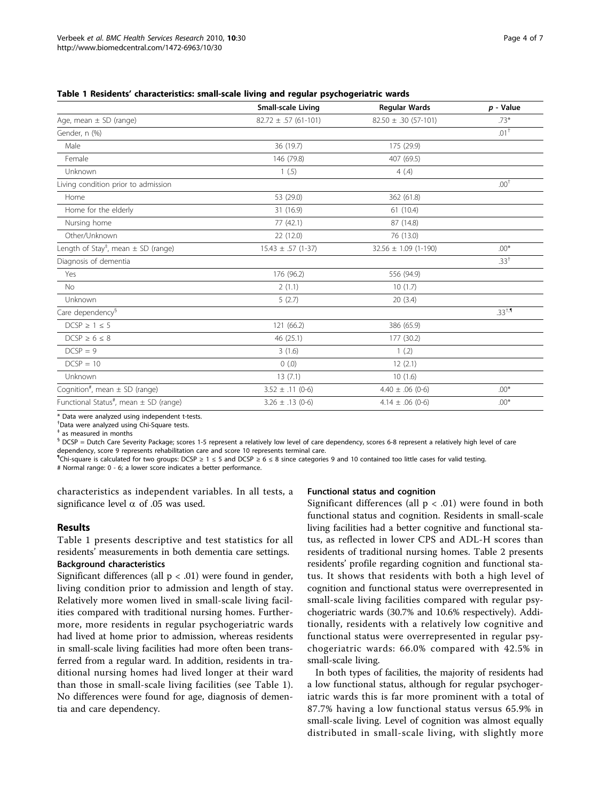|                                                     | <b>Small-scale Living</b> | <b>Regular Wards</b>     | $p - Value$  |
|-----------------------------------------------------|---------------------------|--------------------------|--------------|
| Age, mean $\pm$ SD (range)                          | $82.72 \pm .57(61-101)$   | $82.50 \pm .30 (57-101)$ | $.73*$       |
| Gender, n (%)                                       |                           |                          | $.01^{+}$    |
| Male                                                | 36 (19.7)                 | 175 (29.9)               |              |
| Female                                              | 146 (79.8)                | 407 (69.5)               |              |
| Unknown                                             | 1(.5)<br>4(.4)            |                          |              |
| Living condition prior to admission                 |                           |                          | $.00+$       |
| Home                                                | 53 (29.0)                 | 362 (61.8)               |              |
| Home for the elderly                                | 31 (16.9)                 | 61 (10.4)                |              |
| Nursing home                                        | 77 (42.1)                 | 87 (14.8)                |              |
| Other/Unknown                                       | 22 (12.0)                 | 76 (13.0)                |              |
| Length of Stay <sup>‡</sup> , mean $\pm$ SD (range) | $15.43 \pm .57$ (1-37)    | $32.56 \pm 1.09$ (1-190) | $.00*$       |
| Diagnosis of dementia                               |                           |                          | $.33^{+}$    |
| Yes                                                 | 176 (96.2)                | 556 (94.9)               |              |
| <b>No</b>                                           | 2(1.1)                    | 10(1.7)                  |              |
| Unknown                                             | 5(2.7)                    | 20(3.4)                  |              |
| Care dependency <sup>§</sup>                        |                           |                          | $.33^{+, 1}$ |
| $DCSP \ge 1 \le 5$                                  | 121 (66.2)                | 386 (65.9)               |              |
| $DCSP \ge 6 \le 8$                                  | 46 (25.1)                 | 177 (30.2)               |              |
| $DCSP = 9$                                          | 3(1.6)                    | 1(.2)                    |              |
| $DCSP = 10$                                         | 0(0.0)                    | 12(2.1)                  |              |
| Unknown                                             | 13(7.1)                   | 10(1.6)                  |              |
| Cognition <sup>#</sup> , mean $\pm$ SD (range)      | $3.52 \pm .11$ (0-6)      | $4.40 \pm .06$ (0-6)     | $.00*$       |
| Functional Status#, mean $\pm$ SD (range)           | $3.26 \pm .13$ (0-6)      | 4.14 $\pm$ .06 (0-6)     | $.00*$       |

\* Data were analyzed using independent t-tests.

† Data were analyzed using Chi-Square tests.

as measured in months

§ DCSP = Dutch Care Severity Package; scores 1-5 represent a relatively low level of care dependency, scores 6-8 represent a relatively high level of care dependency, score 9 represents rehabilitation care and score 10 represents terminal care.

¶ Chi-square is calculated for two groups: DCSP ≥ 1 ≤ 5 and DCSP ≥ 6 ≤ 8 since categories 9 and 10 contained too little cases for valid testing.

# Normal range: 0 - 6; a lower score indicates a better performance.

characteristics as independent variables. In all tests, a significance level  $\alpha$  of .05 was used.

#### Results

Table 1 presents descriptive and test statistics for all residents' measurements in both dementia care settings. Background characteristics

Significant differences (all  $p < .01$ ) were found in gender, living condition prior to admission and length of stay. Relatively more women lived in small-scale living facilities compared with traditional nursing homes. Furthermore, more residents in regular psychogeriatric wards had lived at home prior to admission, whereas residents in small-scale living facilities had more often been transferred from a regular ward. In addition, residents in traditional nursing homes had lived longer at their ward than those in small-scale living facilities (see Table 1). No differences were found for age, diagnosis of dementia and care dependency.

#### Functional status and cognition

Significant differences (all  $p < .01$ ) were found in both functional status and cognition. Residents in small-scale living facilities had a better cognitive and functional status, as reflected in lower CPS and ADL-H scores than residents of traditional nursing homes. Table [2](#page-4-0) presents residents' profile regarding cognition and functional status. It shows that residents with both a high level of cognition and functional status were overrepresented in small-scale living facilities compared with regular psychogeriatric wards (30.7% and 10.6% respectively). Additionally, residents with a relatively low cognitive and functional status were overrepresented in regular psychogeriatric wards: 66.0% compared with 42.5% in small-scale living.

In both types of facilities, the majority of residents had a low functional status, although for regular psychogeriatric wards this is far more prominent with a total of 87.7% having a low functional status versus 65.9% in small-scale living. Level of cognition was almost equally distributed in small-scale living, with slightly more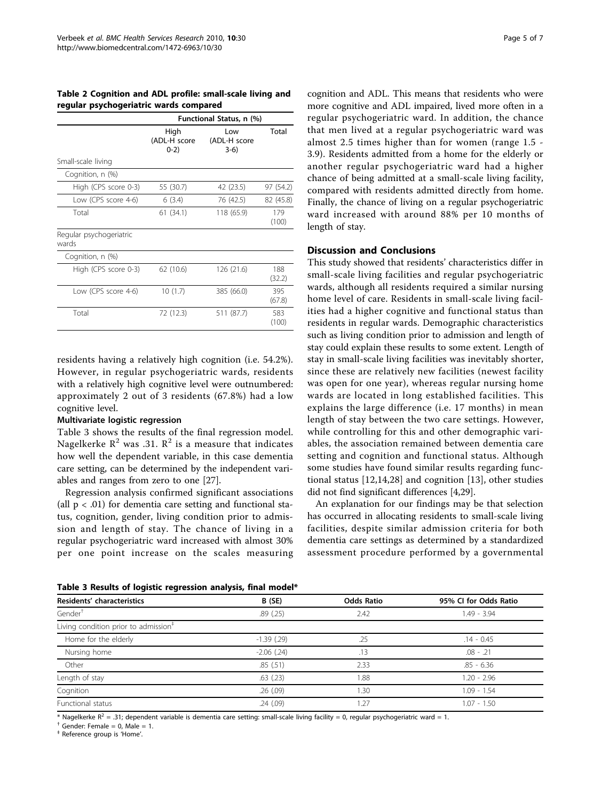<span id="page-4-0"></span>

| Table 2 Cognition and ADL profile: small-scale living and |  |  |
|-----------------------------------------------------------|--|--|
| regular psychogeriatric wards compared                    |  |  |

|                                  | Functional Status, n (%)       |                               |               |  |
|----------------------------------|--------------------------------|-------------------------------|---------------|--|
|                                  | High<br>(ADL-H score<br>$0-2)$ | Low<br>(ADL-H score<br>$3-6)$ | Total         |  |
| Small-scale living               |                                |                               |               |  |
| Cognition, n (%)                 |                                |                               |               |  |
| High (CPS score 0-3)             | 55 (30.7)                      | 42 (23.5)                     | 97 (54.2)     |  |
| Low (CPS score 4-6)              | 6(3.4)                         | 76 (42.5)                     | 82 (45.8)     |  |
| Total                            | 61 (34.1)                      | 118 (65.9)                    | 179<br>(100)  |  |
| Regular psychogeriatric<br>wards |                                |                               |               |  |
| Cognition, n (%)                 |                                |                               |               |  |
| High (CPS score 0-3)             | 62 (10.6)                      | 126 (21.6)                    | 188<br>(32.2) |  |
| Low (CPS score 4-6)              | 10(1.7)                        | 385 (66.0)                    | 395<br>(67.8) |  |
| Total                            | 72 (12.3)                      | 511 (87.7)                    | 583<br>(100)  |  |

residents having a relatively high cognition (i.e. 54.2%). However, in regular psychogeriatric wards, residents with a relatively high cognitive level were outnumbered: approximately 2 out of 3 residents (67.8%) had a low cognitive level.

## Multivariate logistic regression

Table 3 shows the results of the final regression model. Nagelkerke  $R^2$  was .31.  $R^2$  is a measure that indicates how well the dependent variable, in this case dementia care setting, can be determined by the independent variables and ranges from zero to one [\[27\]](#page-6-0).

Regression analysis confirmed significant associations (all  $p < .01$ ) for dementia care setting and functional status, cognition, gender, living condition prior to admission and length of stay. The chance of living in a regular psychogeriatric ward increased with almost 30% per one point increase on the scales measuring

#### Discussion and Conclusions

This study showed that residents' characteristics differ in small-scale living facilities and regular psychogeriatric wards, although all residents required a similar nursing home level of care. Residents in small-scale living facilities had a higher cognitive and functional status than residents in regular wards. Demographic characteristics such as living condition prior to admission and length of stay could explain these results to some extent. Length of stay in small-scale living facilities was inevitably shorter, since these are relatively new facilities (newest facility was open for one year), whereas regular nursing home wards are located in long established facilities. This explains the large difference (i.e. 17 months) in mean length of stay between the two care settings. However, while controlling for this and other demographic variables, the association remained between dementia care setting and cognition and functional status. Although some studies have found similar results regarding functional status [[12,14,28](#page-6-0)] and cognition [\[13](#page-6-0)], other studies did not find significant differences [\[4,29](#page-6-0)].

An explanation for our findings may be that selection has occurred in allocating residents to small-scale living facilities, despite similar admission criteria for both dementia care settings as determined by a standardized assessment procedure performed by a governmental

|  | Table 3 Results of logistic regression analysis, final model* |  |  |
|--|---------------------------------------------------------------|--|--|
|  |                                                               |  |  |

| -                                       |               |                   |                       |
|-----------------------------------------|---------------|-------------------|-----------------------|
| Residents' characteristics              | B (SE)        | <b>Odds Ratio</b> | 95% CI for Odds Ratio |
| Gender <sup>+</sup>                     | .89(.25)      | 2.42              | $1.49 - 3.94$         |
| Living condition prior to admission $†$ |               |                   |                       |
| Home for the elderly                    | $-1.39(0.29)$ | .25               | $.14 - 0.45$          |
| Nursing home                            | $-2.06$ (.24) | .13               | $.08 - .21$           |
| Other                                   | .85(.51)      | 2.33              | $.85 - 6.36$          |
| Length of stay                          | $.63$ $(.23)$ | 1.88              | $1.20 - 2.96$         |
| Cognition                               | .26(.09)      | 1.30              | $1.09 - 1.54$         |
| Functional status                       | .24(.09)      | 1.27              | $1.07 - 1.50$         |
|                                         |               |                   |                       |

\* Nagelkerke R<sup>2</sup> = .31; dependent variable is dementia care setting: small-scale living facility = 0, regular psychogeriatric ward = 1.<br><sup>†</sup> Gender: Female = 0. Male = 1.

‡ Reference group is 'Home'.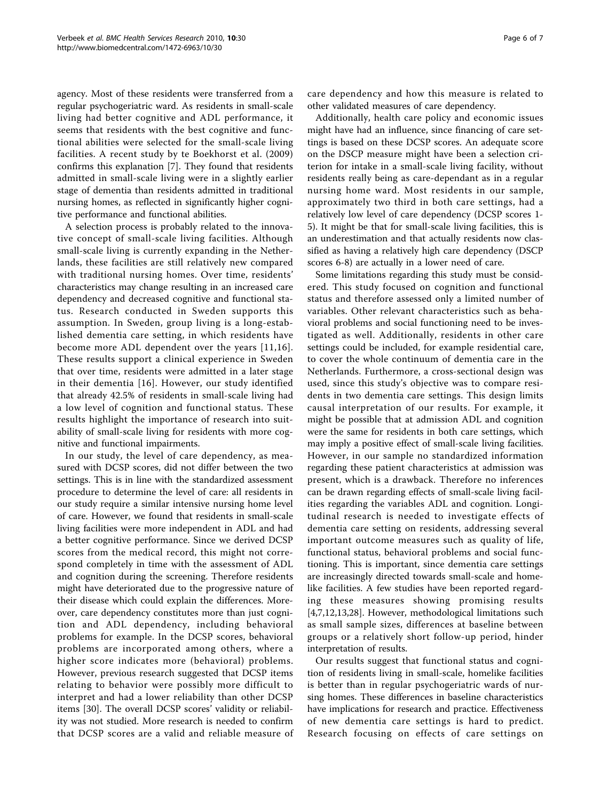agency. Most of these residents were transferred from a regular psychogeriatric ward. As residents in small-scale living had better cognitive and ADL performance, it seems that residents with the best cognitive and functional abilities were selected for the small-scale living facilities. A recent study by te Boekhorst et al. (2009) confirms this explanation [[7\]](#page-6-0). They found that residents admitted in small-scale living were in a slightly earlier stage of dementia than residents admitted in traditional nursing homes, as reflected in significantly higher cognitive performance and functional abilities.

A selection process is probably related to the innovative concept of small-scale living facilities. Although small-scale living is currently expanding in the Netherlands, these facilities are still relatively new compared with traditional nursing homes. Over time, residents' characteristics may change resulting in an increased care dependency and decreased cognitive and functional status. Research conducted in Sweden supports this assumption. In Sweden, group living is a long-established dementia care setting, in which residents have become more ADL dependent over the years [[11](#page-6-0),[16\]](#page-6-0). These results support a clinical experience in Sweden that over time, residents were admitted in a later stage in their dementia [[16](#page-6-0)]. However, our study identified that already 42.5% of residents in small-scale living had a low level of cognition and functional status. These results highlight the importance of research into suitability of small-scale living for residents with more cognitive and functional impairments.

In our study, the level of care dependency, as measured with DCSP scores, did not differ between the two settings. This is in line with the standardized assessment procedure to determine the level of care: all residents in our study require a similar intensive nursing home level of care. However, we found that residents in small-scale living facilities were more independent in ADL and had a better cognitive performance. Since we derived DCSP scores from the medical record, this might not correspond completely in time with the assessment of ADL and cognition during the screening. Therefore residents might have deteriorated due to the progressive nature of their disease which could explain the differences. Moreover, care dependency constitutes more than just cognition and ADL dependency, including behavioral problems for example. In the DCSP scores, behavioral problems are incorporated among others, where a higher score indicates more (behavioral) problems. However, previous research suggested that DCSP items relating to behavior were possibly more difficult to interpret and had a lower reliability than other DCSP items [[30](#page-6-0)]. The overall DCSP scores' validity or reliability was not studied. More research is needed to confirm that DCSP scores are a valid and reliable measure of care dependency and how this measure is related to other validated measures of care dependency.

Additionally, health care policy and economic issues might have had an influence, since financing of care settings is based on these DCSP scores. An adequate score on the DSCP measure might have been a selection criterion for intake in a small-scale living facility, without residents really being as care-dependant as in a regular nursing home ward. Most residents in our sample, approximately two third in both care settings, had a relatively low level of care dependency (DCSP scores 1- 5). It might be that for small-scale living facilities, this is an underestimation and that actually residents now classified as having a relatively high care dependency (DSCP scores 6-8) are actually in a lower need of care.

Some limitations regarding this study must be considered. This study focused on cognition and functional status and therefore assessed only a limited number of variables. Other relevant characteristics such as behavioral problems and social functioning need to be investigated as well. Additionally, residents in other care settings could be included, for example residential care, to cover the whole continuum of dementia care in the Netherlands. Furthermore, a cross-sectional design was used, since this study's objective was to compare residents in two dementia care settings. This design limits causal interpretation of our results. For example, it might be possible that at admission ADL and cognition were the same for residents in both care settings, which may imply a positive effect of small-scale living facilities. However, in our sample no standardized information regarding these patient characteristics at admission was present, which is a drawback. Therefore no inferences can be drawn regarding effects of small-scale living facilities regarding the variables ADL and cognition. Longitudinal research is needed to investigate effects of dementia care setting on residents, addressing several important outcome measures such as quality of life, functional status, behavioral problems and social functioning. This is important, since dementia care settings are increasingly directed towards small-scale and homelike facilities. A few studies have been reported regarding these measures showing promising results [[4,7,12,13,28\]](#page-6-0). However, methodological limitations such as small sample sizes, differences at baseline between groups or a relatively short follow-up period, hinder interpretation of results.

Our results suggest that functional status and cognition of residents living in small-scale, homelike facilities is better than in regular psychogeriatric wards of nursing homes. These differences in baseline characteristics have implications for research and practice. Effectiveness of new dementia care settings is hard to predict. Research focusing on effects of care settings on